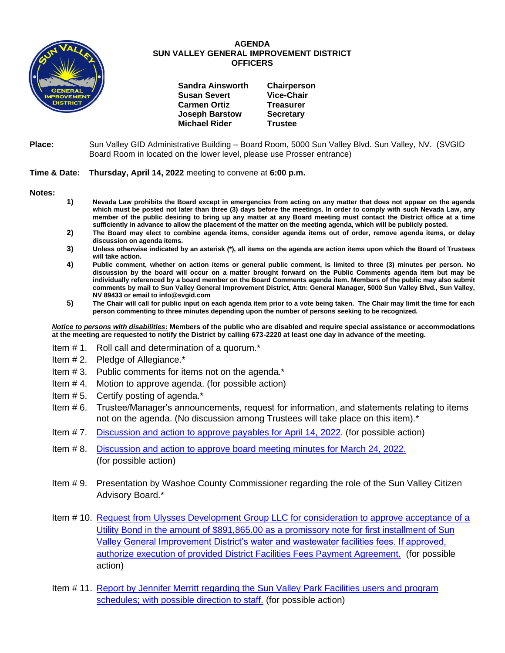

## **AGENDA SUN VALLEY GENERAL IMPROVEMENT DISTRICT OFFICERS**

| <b>Sandra Ainsworth</b> | Chairperson       |
|-------------------------|-------------------|
| <b>Susan Severt</b>     | <b>Vice-Chair</b> |
| <b>Carmen Ortiz</b>     | <b>Treasurer</b>  |
| <b>Joseph Barstow</b>   | <b>Secretary</b>  |
| <b>Michael Rider</b>    | <b>Trustee</b>    |
|                         |                   |

## **Place:** Sun Valley GID Administrative Building – Board Room, 5000 Sun Valley Blvd. Sun Valley, NV. (SVGID Board Room in located on the lower level, please use Prosser entrance)

## **Time & Date: Thursday, April 14, 2022** meeting to convene at **6:00 p.m.**

**Notes:**

- **1) Nevada Law prohibits the Board except in emergencies from acting on any matter that does not appear on the agenda which must be posted not later than three (3) days before the meetings. In order to comply with such Nevada Law, any member of the public desiring to bring up any matter at any Board meeting must contact the District office at a time sufficiently in advance to allow the placement of the matter on the meeting agenda, which will be publicly posted.**
- **2) The Board may elect to combine agenda items, consider agenda items out of order, remove agenda items, or delay discussion on agenda items.**
- **3) Unless otherwise indicated by an asterisk (\*), all items on the agenda are action items upon which the Board of Trustees will take action.**
- **4) Public comment, whether on action items or general public comment, is limited to three (3) minutes per person. No discussion by the board will occur on a matter brought forward on the Public Comments agenda item but may be individually referenced by a board member on the Board Comments agenda item. Members of the public may also submit comments by mail to Sun Valley General Improvement District, Attn: General Manager, 5000 Sun Valley Blvd., Sun Valley, NV 89433 or email to info@svgid.com**
- **5) The Chair will call for public input on each agenda item prior to a vote being taken. The Chair may limit the time for each person commenting to three minutes depending upon the number of persons seeking to be recognized.**

*Notice to persons with disabilities***: Members of the public who are disabled and require special assistance or accommodations at the meeting are requested to notify the District by calling 673-2220 at least one day in advance of the meeting.**

- Item # 1. Roll call and determination of a quorum.\*
- Item # 2. Pledge of Allegiance.\*
- Item # 3. Public comments for items not on the agenda.\*
- Item # 4. Motion to approve agenda. (for possible action)
- Item # 5. Certify posting of agenda.\*
- Item # 6. Trustee/Manager's announcements, request for information, and statements relating to items not on the agenda. (No discussion among Trustees will take place on this item).\*
- Item # 7. [Discussion and action to approve payables](https://www.svgid.com/wp-content/uploads/041422_AgendaItem07.pdf) for April 14, 2022. (for possible action)
- Item # 8. [Discussion and action to approve board meeting minutes for](https://www.svgid.com/wp-content/uploads/041422_AgendaItem08.pdf) March 24, 2022. (for possible action)
- Item # 9. Presentation by Washoe County Commissioner regarding the role of the Sun Valley Citizen Advisory Board.\*
- Item # 10. [Request from Ulysses Development Group LLC for consideration to approve acceptance of a](https://www.svgid.com/wp-content/uploads/041422_AgendaItem10.pdf)  [Utility Bond in the amount of \\$891,865.00 as a promissory note](https://www.svgid.com/wp-content/uploads/041422_AgendaItem10.pdf) for first installment of Sun [Valley General Improvement District's water and wastewater facilities fees. If approved,](https://www.svgid.com/wp-content/uploads/041422_AgendaItem10.pdf)  authorize execution of provided [District Facilities Fees Payment Agreement.](https://www.svgid.com/wp-content/uploads/041422_AgendaItem10.pdf) (for possible action)
- Item # 11. Report by Jennifer Merritt [regarding the Sun Valley Park Facilities users and program](https://www.svgid.com/wp-content/uploads/041422_AgendaItem11.pdf)  [schedules; with possible direction to staff.](https://www.svgid.com/wp-content/uploads/041422_AgendaItem11.pdf) (for possible action)